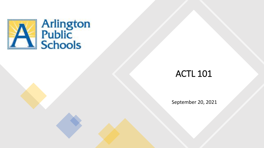

### ACTL 101

September 20, 2021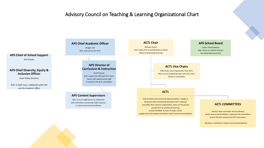#### Advisory Council on Teaching & Learning Organizational Chart

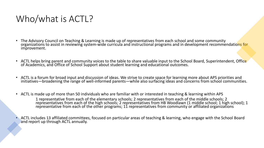### Who/what is ACTL?

- The Advisory Council on Teaching & Learning is made up of representatives from each school and some community organizations to assist in reviewing system-wide curricula and instructional programs and in development recommendations for improvement.
- ACTL helps bring parent and community voices to the table to share valuable input to the School Board, Superintendent, Office of Academics, and Office of School Support about student learning and educational outcomes.
- ACTL is a forum for broad input and discussion of ideas. We strive to create space for learning more about APS priorities and initiatives—broadening the range of well-informed parents—while also surfacing ideas and concerns from school communities.
- ACTL is made up of more than 50 individuals who are familiar with or interested in teaching & learning within APS 1 representative from each of the elementary schools; 2 representatives from each of the middle schools; 2 representatives from each of the high schools; 2 representatives from HB Woodlawn (1 middle school; 1 high school); 1 representative from each of the other programs; 11 representatives from community or affiliated organizations
- ACTL includes 13 affiliated committees, focused on particular areas of teaching & learning, who engage with the School Board and report up through ACTL annually.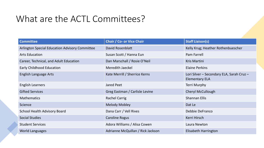### What are the ACTL Committees?

| <b>Committee</b>                                      | <b>Chair / Co- or Vice Chair</b>  | <b>Staff Liaison(s)</b>                                            |
|-------------------------------------------------------|-----------------------------------|--------------------------------------------------------------------|
| <b>Arlington Special Education Advisory Committee</b> | <b>David Rosenblatt</b>           | Kelly Krug; Heather Rothenbuescher                                 |
| <b>Arts Education</b>                                 | Susan Scott / Hanna Eun           | Pam Farrell                                                        |
| Career, Technical, and Adult Education                | Dan Marschall / Rosie O'Neil      | Kris Martini                                                       |
| <b>Early Childhood Education</b>                      | <b>Meredith Jaeckel</b>           | <b>Elaine Perkins</b>                                              |
| <b>English Language Arts</b>                          | Kate Merrill / Sherrice Kerns     | Lori Silver - Secondary ELA, Sarah Cruz -<br><b>Elementary ELA</b> |
| <b>English Learners</b>                               | Jared Peet                        | <b>Terri Murphy</b>                                                |
| <b>Gifted Services</b>                                | Greg Eastman / Carlisle Levine    | <b>Cheryl McCullough</b>                                           |
| <b>Mathematics</b>                                    | <b>Rachel Carrig</b>              | <b>Shannan Ellis</b>                                               |
| Science                                               | <b>Melody Mobley</b>              | Dat Le                                                             |
| <b>School Health Advisory Board</b>                   | Dana Carr / Vell Rives            | Debbie DeFranco                                                    |
| <b>Social Studies</b>                                 | <b>Caroline Rogus</b>             | Kerri Hirsch                                                       |
| <b>Student Services</b>                               | Adora Williams / Alisa Cowen      | Laura Newton                                                       |
| <b>World Languages</b>                                | Adrianne McQuillan / Rick Jackson | Elisabeth Harrington                                               |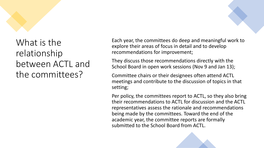# What is the relationship between ACTL and

the committees?

Each year, the committees do deep and meaningful work to explore their areas of focus in detail and to develop recommendations for improvement;

They discuss those recommendations directly with the School Board in open work sessions (Nov 9 and Jan 13);

Committee chairs or their designees often attend ACTL meetings and contribute to the discussion of topics in that setting;

Per policy, the committees report to ACTL, so they also bring their recommendations to ACTL for discussion and the ACTL representatives assess the rationale and recommendations being made by the committees. Toward the end of the academic year, the committee reports are formally submitted to the School Board from ACTL.

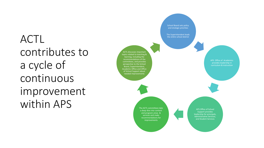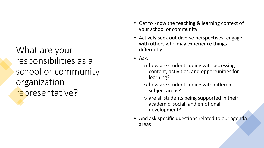What are your responsibilities as a school or community organization representative?

- Get to know the teaching & learning context of your school or community
- Actively seek out diverse perspectives; engage with others who may experience things differently
- Ask:
	- $\circ$  how are students doing with accessing content, activities, and opportunities for learning?
	- o how are students doing with different subject areas?
	- $\circ$  are all students being supported in their academic, social, and emotional development?
- And ask specific questions related to our agenda areas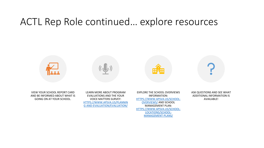### ACTL Rep Role continued… explore resources



AND BE INFORMED ABOUT WHAT IS GOING ON AT YOUR SCHOOL.

EVALUATIONS AND THE YOUR VOICE MATTERS SURVEY: [HTTPS://WWW.APSVA.US/PLANNIN](https://www.apsva.us/planning-and-evaluation/evaluation/) G-AND-EVALUATION/EVALUATION/

INFORMATION: [HTTPS://WWW.APSVA.US/SCHOOL-](https://www.apsva.us/school-overviews/)OVERVIEWS/ AND SCHOOL MANAGEMENT PLAN: [HTTPS://WWW.APSVA.US/SCHOOL-](https://www.apsva.us/school-locations/school-management-plans/)LOCATIONS/SCHOOL-MANAGEMENT-PLANS/

ASK QUESTIONS AND SEE WHAT ADDITIONAL INFORMATION IS AVAILABLE!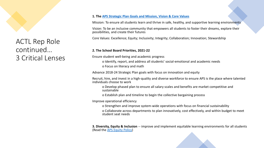

ACTL Rep Role continued… 3 Critical Lenses

#### **1. The [APS Strategic Plan Goals and Mission, Vision & Core Values](https://www.apsva.us/arlington-public-schools-overview/)**

Mission: To ensure all students learn and thrive in safe, healthy, and supportive learning environments

Vision: To be an inclusive community that empowers all students to foster their dreams, explore their possibilities, and create their futures

Core Values: Excellence; Equity; Inclusivity; Integrity; Collaboration; Innovation; Stewardship

#### **2. The School Board Priorities, 2021-22**

Ensure student well-being and academic progress

o Identify, report, and address all students' social-emotional and academic needs o Focus on literacy and math

Advance 2018-24 Strategic Plan goals with focus on innovation and equity

Recruit, hire, and invest in a high-quality and diverse workforce to ensure APS is the place where talented individuals choose to work

o Develop phased plan to ensure all salary scales and benefits are market competitive and sustainable

o Establish plan and timeline to begin the collective bargaining process

Improve operational efficiency

o Strengthen and improve system-wide operations with focus on financial sustainability

o Collaborate across departments to plan innovatively, cost effectively, and within budget to meet student seat needs

**3. Diversity, Equity & Inclusion** -- improve and implement equitable learning environments for all students (Read the [APS Equity Policy](https://go.boarddocs.com/vsba/arlington/Board.nsf/files/BSPM585985FA/$file/A-30 Equity.pdf))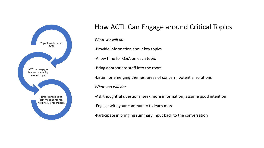

### How ACTL Can Engage around Critical Topics

*What we will do:*

-Provide information about key topics

-Allow time for Q&A on each topic

-Bring appropriate staff into the room

-Listen for emerging themes, areas of concern, potential solutions

*What you will do:*

-Ask thoughtful questions; seek more information; assume good intention

-Engage with your community to learn more

-Participate in bringing summary input back to the conversation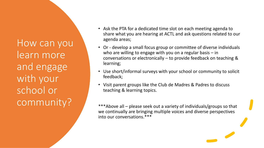How can you learn more and engage with your school or community?

- Ask the PTA for a dedicated time slot on each meeting agenda to share what you are hearing at ACTL and ask questions related to our agenda areas;
- Or develop a small focus group or committee of diverse individuals who are willing to engage with you on a regular basis – in conversations or electronically – to provide feedback on teaching & learning;
- Use short/informal surveys with your school or community to solicit feedback;
- Visit parent groups like the Club de Madres & Padres to discuss teaching & learning topics.

\*\*\*Above all – please seek out a variety of individuals/groups so that we continually are bringing multiple voices and diverse perspectives into our conversations.\*\*\*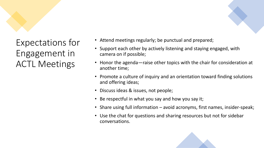



- Attend meetings regularly; be punctual and prepared;
- Support each other by actively listening and staying engaged, with camera on if possible;
- Honor the agenda—raise other topics with the chair for consideration at another time;
- Promote a culture of inquiry and an orientation toward finding solutions and offering ideas;
- Discuss ideas & issues, not people;
- Be respectful in what you say and how you say it;
- Share using full information avoid acronyms, first names, insider-speak;
- Use the chat for questions and sharing resources but not for sidebar conversations.

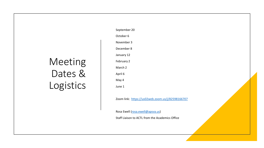## Meeting Dates & Logistics

September 20

October 6

November 3

December 8

January 12

February 2

March 2

April 6

May 4

June 1

Zoom link: <https://us02web.zoom.us/j/82598166707>

Rosa Ewell [\(rosa.ewell@apsva.us](mailto:rosa.ewell@apsva.us))

Staff Liaison to ACTL from the Academics Office